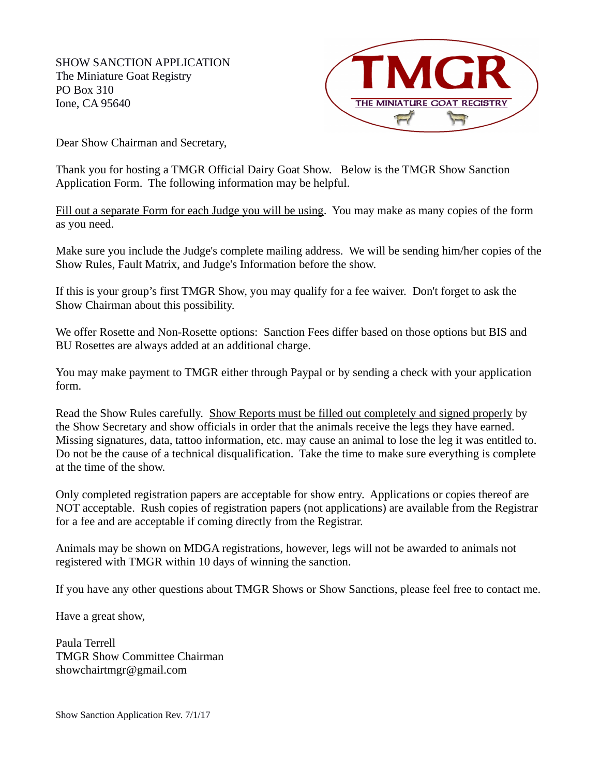SHOW SANCTION APPLICATION The Miniature Goat Registry PO Box 310 Ione, CA 95640



Dear Show Chairman and Secretary,

Thank you for hosting a TMGR Official Dairy Goat Show. Below is the TMGR Show Sanction Application Form. The following information may be helpful.

Fill out a separate Form for each Judge you will be using. You may make as many copies of the form as you need.

Make sure you include the Judge's complete mailing address. We will be sending him/her copies of the Show Rules, Fault Matrix, and Judge's Information before the show.

If this is your group's first TMGR Show, you may qualify for a fee waiver. Don't forget to ask the Show Chairman about this possibility.

We offer Rosette and Non-Rosette options: Sanction Fees differ based on those options but BIS and BU Rosettes are always added at an additional charge.

You may make payment to TMGR either through Paypal or by sending a check with your application form.

Read the Show Rules carefully. Show Reports must be filled out completely and signed properly by the Show Secretary and show officials in order that the animals receive the legs they have earned. Missing signatures, data, tattoo information, etc. may cause an animal to lose the leg it was entitled to. Do not be the cause of a technical disqualification. Take the time to make sure everything is complete at the time of the show.

Only completed registration papers are acceptable for show entry. Applications or copies thereof are NOT acceptable. Rush copies of registration papers (not applications) are available from the Registrar for a fee and are acceptable if coming directly from the Registrar.

Animals may be shown on MDGA registrations, however, legs will not be awarded to animals not registered with TMGR within 10 days of winning the sanction.

If you have any other questions about TMGR Shows or Show Sanctions, please feel free to contact me.

Have a great show,

Paula Terrell TMGR Show Committee Chairman showchairtmgr@gmail.com

Show Sanction Application Rev. 7/1/17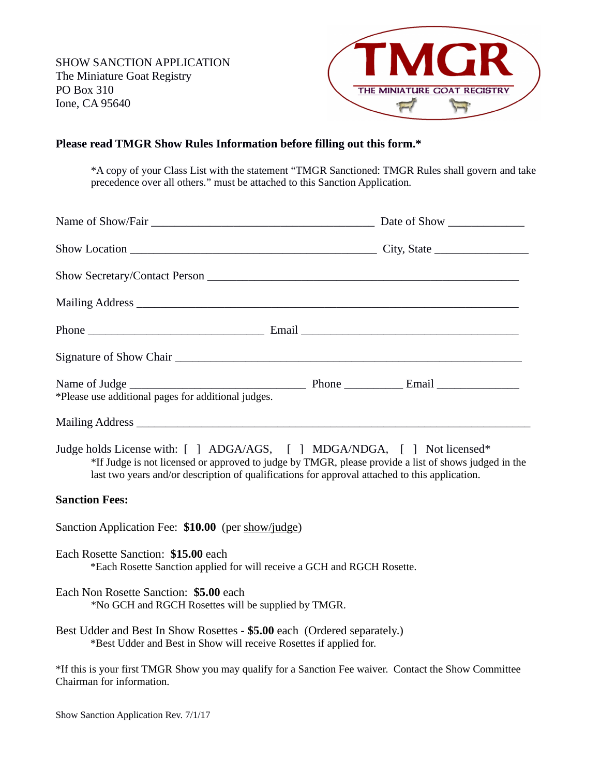

## **Please read TMGR Show Rules Information before filling out this form.\***

\*A copy of your Class List with the statement "TMGR Sanctioned: TMGR Rules shall govern and take precedence over all others." must be attached to this Sanction Application.

| Name of Show/Fair League and Show Date of Show Date of Show Date of Show Date of Show Date of Show Date of Show                                                                                                                                                                    |  |  |  |
|------------------------------------------------------------------------------------------------------------------------------------------------------------------------------------------------------------------------------------------------------------------------------------|--|--|--|
|                                                                                                                                                                                                                                                                                    |  |  |  |
|                                                                                                                                                                                                                                                                                    |  |  |  |
|                                                                                                                                                                                                                                                                                    |  |  |  |
|                                                                                                                                                                                                                                                                                    |  |  |  |
|                                                                                                                                                                                                                                                                                    |  |  |  |
| *Please use additional pages for additional judges.                                                                                                                                                                                                                                |  |  |  |
|                                                                                                                                                                                                                                                                                    |  |  |  |
| Judge holds License with: [ ] ADGA/AGS, [ ] MDGA/NDGA, [ ] Not licensed*<br>*If Judge is not licensed or approved to judge by TMGR, please provide a list of shows judged in the<br>last two years and/or description of qualifications for approval attached to this application. |  |  |  |
| <b>Sanction Fees:</b>                                                                                                                                                                                                                                                              |  |  |  |
| Sanction Application Fee: \$10.00 (per show/judge)                                                                                                                                                                                                                                 |  |  |  |
| Each Rosette Sanction: \$15.00 each<br>*Each Rosette Sanction applied for will receive a GCH and RGCH Rosette.                                                                                                                                                                     |  |  |  |
| Each Non Rosette Sanction: \$5.00 each<br>*No GCH and RGCH Rosettes will be supplied by TMGR.                                                                                                                                                                                      |  |  |  |
| Best Udder and Best In Show Rosettes - \$5.00 each (Ordered separately.)<br>*Best Udder and Best in Show will receive Rosettes if applied for.                                                                                                                                     |  |  |  |
| *If this is your first TMGR Show you may qualify for a Sanction Fee waiver. Contact the Show Committee<br>Chairman for information.                                                                                                                                                |  |  |  |

Show Sanction Application Rev. 7/1/17